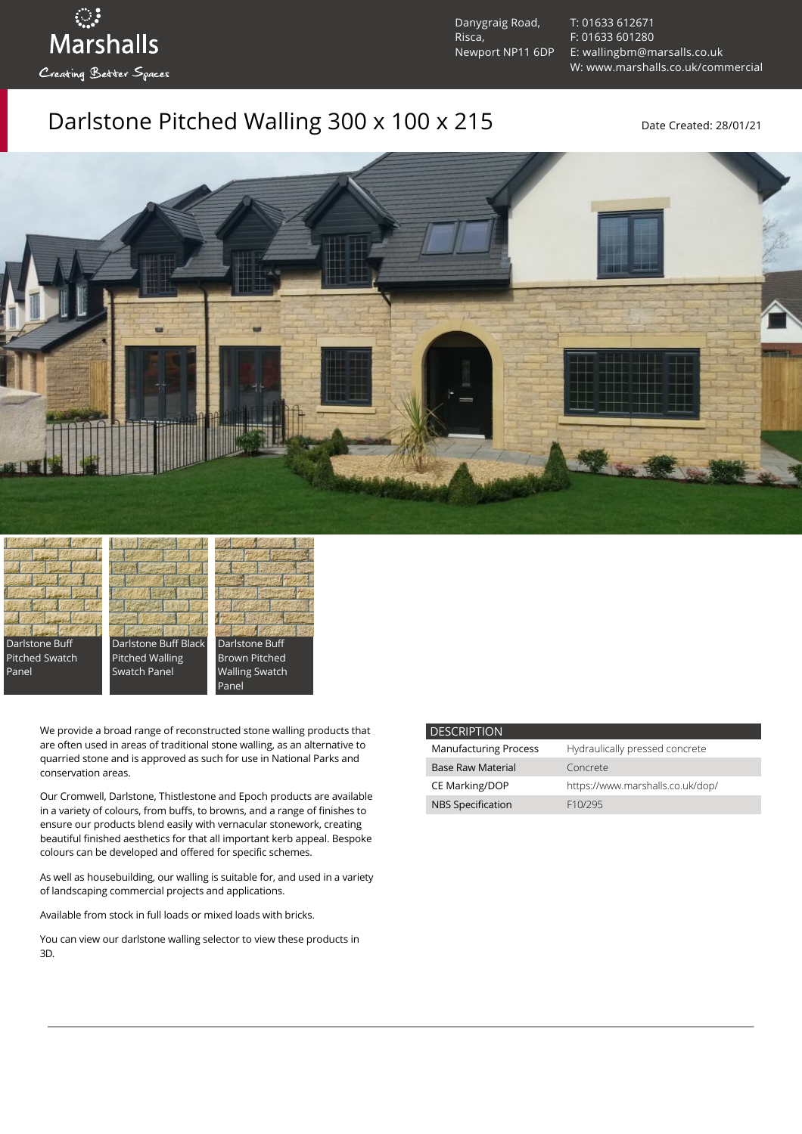ः<br>Marshalls Creating Better Spaces

Danygraig Road, Risca, Newport NP11 6DP [T: 01633 612671](tel:01633%20612671) [F: 01633 601280](tel:01633%20601280) [E: wallingbm@marsalls.co.uk](mailto:wallingbm@marsalls.co.uk) [W: www.marshalls.co.uk/commercial](https://www.marshalls.co.uk/commercial)

## Darlstone Pitched Walling 300 x 100 x 215 Date Created: 28/01/21



Darlstone Buff Pitched Swatch Panel

Darlstone Buff Black Pitched Walling Swatch Panel



We provide a broad range of reconstructed stone walling products that are often used in areas of traditional stone walling, as an alternative to quarried stone and is approved as such for use in National Parks and conservation areas.

Our [Cromwell](https://www.marshalls.co.uk/commercial/product/cromwell-stone-walling), Darlstone, [Thistlestone](https://www.marshalls.co.uk/commercial/product/thistlestone-stone-walling) and Epoch products are available in a variety of colours, from buffs, to browns, and a range of finishes to ensure our products blend easily with vernacular stonework, creating beautiful finished aesthetics for that all important kerb appeal. Bespoke colours can be developed and offered for specific schemes.

As well as housebuilding, our walling is suitable for, and used in a variety of landscaping commercial projects and applications.

Available from stock in full loads or mixed loads with bricks.

You can view our [darlstone walling selector](https://www.paverpicker.com/paverpicker/?u=edenhall&cat=walling&subcat=darlstone_walling) to view these products in 3D.

| <b>DESCRIPTION</b>           |                                  |
|------------------------------|----------------------------------|
| <b>Manufacturing Process</b> | Hydraulically pressed concrete   |
| <b>Base Raw Material</b>     | Concrete                         |
| <b>CE Marking/DOP</b>        | https://www.marshalls.co.uk/dop/ |
| <b>NBS Specification</b>     | F <sub>10</sub> /295             |
|                              |                                  |